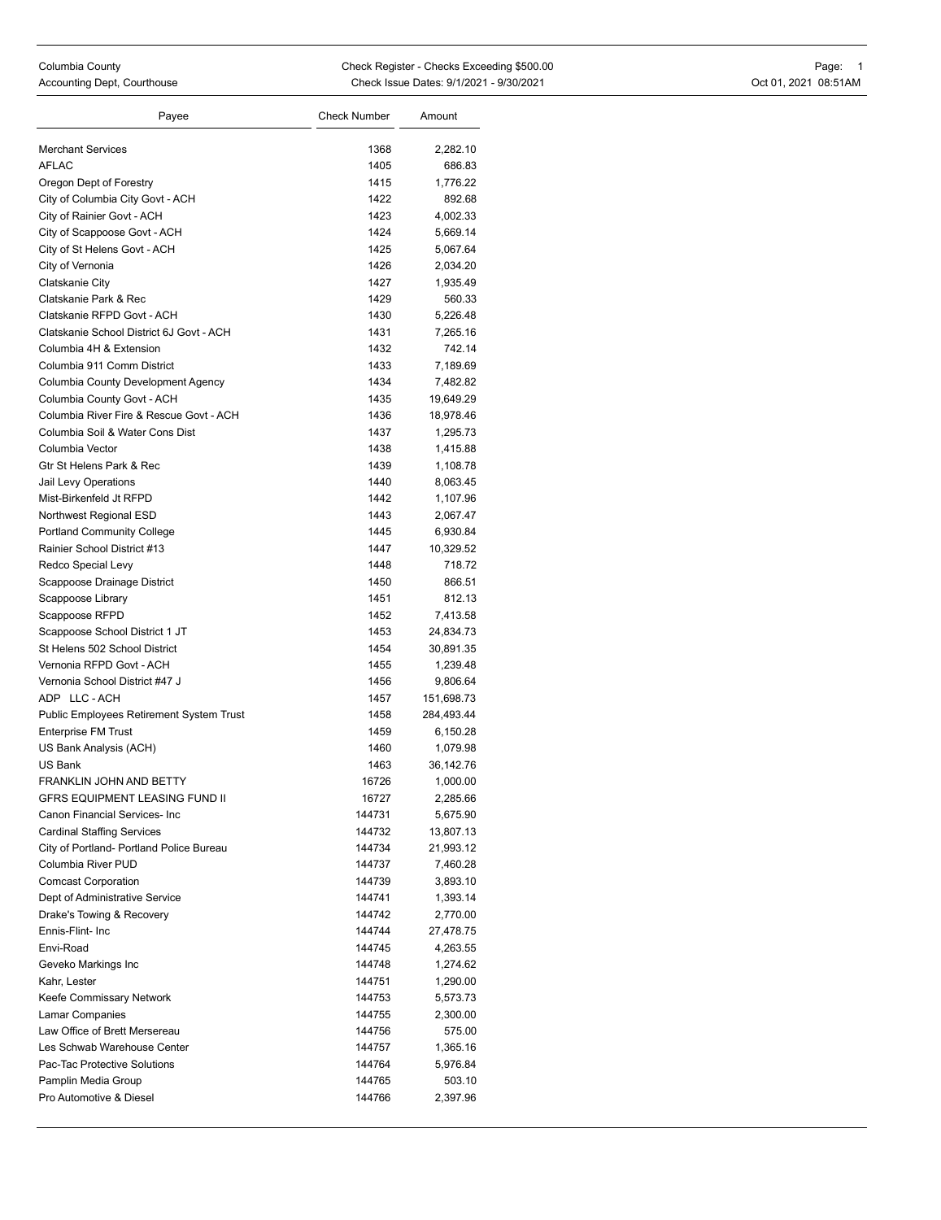| Payee                                    | <b>Check Number</b> | Amount     |
|------------------------------------------|---------------------|------------|
|                                          |                     |            |
| <b>Merchant Services</b>                 | 1368                | 2,282.10   |
| <b>AFLAC</b>                             | 1405                | 686.83     |
| Oregon Dept of Forestry                  | 1415                | 1,776.22   |
| City of Columbia City Govt - ACH         | 1422                | 892.68     |
| City of Rainier Govt - ACH               | 1423                | 4,002.33   |
| City of Scappoose Govt - ACH             | 1424                | 5,669.14   |
| City of St Helens Govt - ACH             | 1425                | 5,067.64   |
| City of Vernonia                         | 1426                | 2,034.20   |
| Clatskanie City                          | 1427                | 1,935.49   |
| Clatskanie Park & Rec                    | 1429                | 560.33     |
| Clatskanie RFPD Govt - ACH               | 1430                | 5,226.48   |
| Clatskanie School District 6J Govt - ACH | 1431                | 7,265.16   |
| Columbia 4H & Extension                  | 1432                | 742.14     |
| Columbia 911 Comm District               | 1433                | 7,189.69   |
| Columbia County Development Agency       | 1434                | 7,482.82   |
| Columbia County Govt - ACH               | 1435                | 19,649.29  |
| Columbia River Fire & Rescue Govt - ACH  | 1436                | 18,978.46  |
| Columbia Soil & Water Cons Dist          | 1437                | 1,295.73   |
| Columbia Vector                          | 1438                | 1,415.88   |
| Gtr St Helens Park & Rec                 | 1439                | 1,108.78   |
| Jail Levy Operations                     | 1440                | 8,063.45   |
| Mist-Birkenfeld Jt RFPD                  | 1442                | 1,107.96   |
| Northwest Regional ESD                   | 1443                | 2,067.47   |
| <b>Portland Community College</b>        | 1445                | 6,930.84   |
| Rainier School District #13              | 1447                | 10,329.52  |
| Redco Special Levy                       | 1448                | 718.72     |
| Scappoose Drainage District              | 1450                | 866.51     |
| Scappoose Library                        | 1451                | 812.13     |
| Scappoose RFPD                           | 1452                | 7,413.58   |
| Scappoose School District 1 JT           | 1453                | 24,834.73  |
| St Helens 502 School District            | 1454                | 30,891.35  |
| Vernonia RFPD Govt - ACH                 | 1455                | 1,239.48   |
| Vernonia School District #47 J           | 1456                | 9,806.64   |
| ADP LLC-ACH                              | 1457                | 151,698.73 |
| Public Employees Retirement System Trust | 1458                | 284,493.44 |
| <b>Enterprise FM Trust</b>               | 1459                | 6,150.28   |
| US Bank Analysis (ACH)                   | 1460                | 1,079.98   |
| US Bank                                  | 1463                | 36,142.76  |
| FRANKLIN JOHN AND BETTY                  | 16726               | 1,000.00   |
| <b>GFRS EQUIPMENT LEASING FUND II</b>    | 16727               | 2,285.66   |
| Canon Financial Services- Inc            | 144731              | 5,675.90   |
| <b>Cardinal Staffing Services</b>        | 144732              | 13,807.13  |
| City of Portland- Portland Police Bureau | 144734              | 21,993.12  |
| Columbia River PUD                       | 144737              | 7,460.28   |
| <b>Comcast Corporation</b>               | 144739              | 3,893.10   |
| Dept of Administrative Service           | 144741              | 1,393.14   |
| Drake's Towing & Recovery                | 144742              | 2,770.00   |
| Ennis-Flint- Inc                         | 144744              | 27,478.75  |
| Envi-Road                                | 144745              | 4,263.55   |
| Geveko Markings Inc                      | 144748              | 1,274.62   |
| Kahr, Lester                             | 144751              | 1,290.00   |
| Keefe Commissary Network                 | 144753              | 5,573.73   |
| Lamar Companies                          | 144755              | 2,300.00   |
| Law Office of Brett Mersereau            | 144756              | 575.00     |
| Les Schwab Warehouse Center              | 144757              | 1,365.16   |
| Pac-Tac Protective Solutions             | 144764              | 5,976.84   |
| Pamplin Media Group                      | 144765              | 503.10     |
| Pro Automotive & Diesel                  | 144766              | 2,397.96   |
|                                          |                     |            |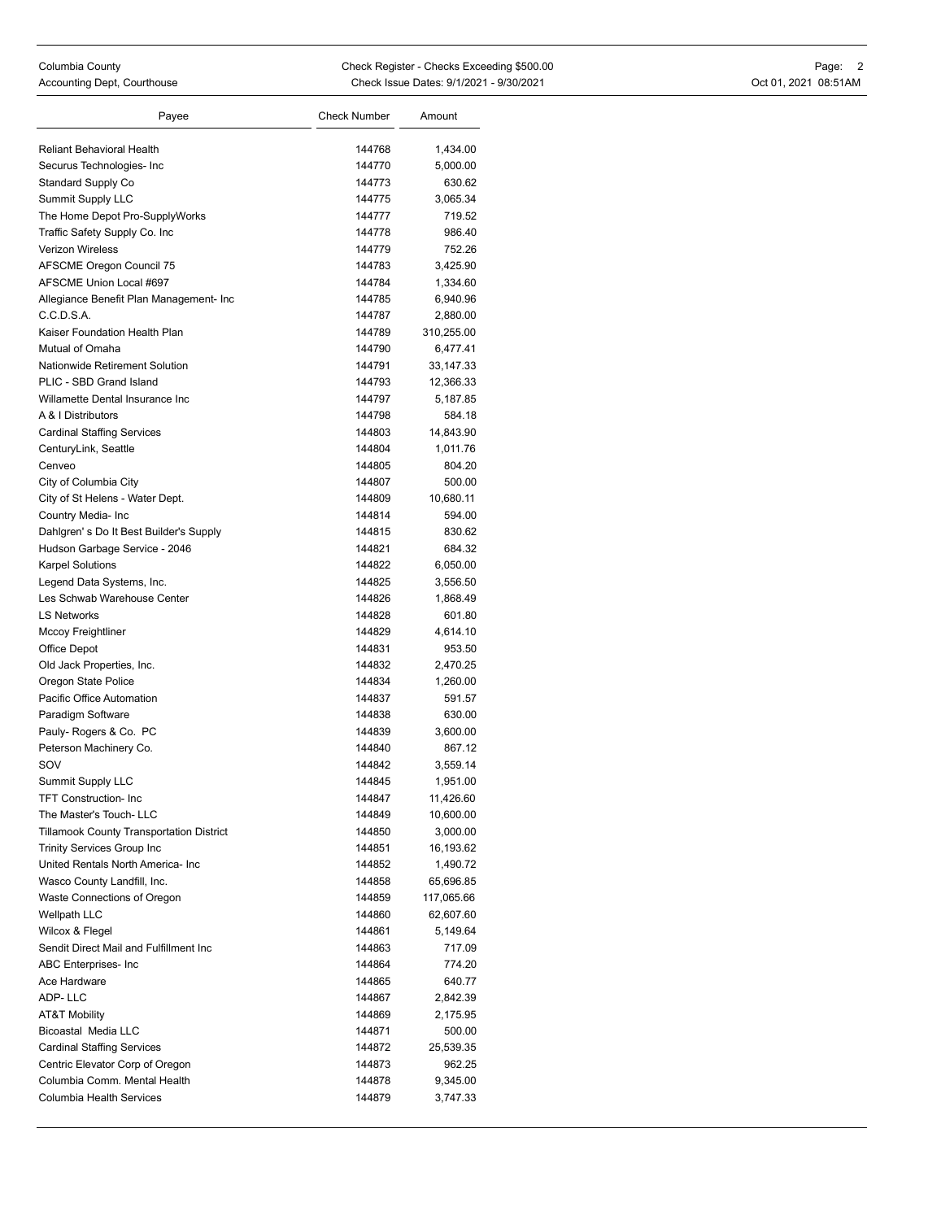| Payee                                                    | <b>Check Number</b> | Amount     |
|----------------------------------------------------------|---------------------|------------|
|                                                          |                     |            |
| Reliant Behavioral Health                                | 144768              | 1,434.00   |
| Securus Technologies- Inc                                | 144770              | 5,000.00   |
| <b>Standard Supply Co</b>                                | 144773              | 630.62     |
| Summit Supply LLC                                        | 144775              | 3,065.34   |
| The Home Depot Pro-SupplyWorks                           | 144777              | 719.52     |
| Traffic Safety Supply Co. Inc                            | 144778              | 986.40     |
| Verizon Wireless                                         | 144779              | 752.26     |
| <b>AFSCME Oregon Council 75</b>                          | 144783              | 3,425.90   |
| AFSCME Union Local #697                                  | 144784              | 1,334.60   |
| Allegiance Benefit Plan Management- Inc                  | 144785              | 6,940.96   |
| C.C.D.S.A.                                               | 144787              | 2,880.00   |
| Kaiser Foundation Health Plan                            | 144789              | 310,255.00 |
| Mutual of Omaha                                          | 144790              | 6,477.41   |
| Nationwide Retirement Solution                           | 144791              | 33,147.33  |
| PLIC - SBD Grand Island                                  | 144793              | 12,366.33  |
| Willamette Dental Insurance Inc                          | 144797              | 5,187.85   |
| A & I Distributors                                       | 144798              | 584.18     |
| <b>Cardinal Staffing Services</b>                        | 144803              | 14,843.90  |
| CenturyLink, Seattle                                     | 144804              | 1,011.76   |
| Cenveo                                                   | 144805              | 804.20     |
| City of Columbia City                                    | 144807              | 500.00     |
| City of St Helens - Water Dept.                          | 144809              | 10,680.11  |
| Country Media- Inc                                       | 144814              | 594.00     |
| Dahlgren's Do It Best Builder's Supply                   | 144815              | 830.62     |
| Hudson Garbage Service - 2046                            | 144821              | 684.32     |
| <b>Karpel Solutions</b>                                  | 144822              | 6,050.00   |
| Legend Data Systems, Inc.                                | 144825              | 3,556.50   |
| Les Schwab Warehouse Center                              | 144826              | 1,868.49   |
| <b>LS Networks</b>                                       | 144828              | 601.80     |
| Mccoy Freightliner                                       | 144829              | 4,614.10   |
| Office Depot                                             | 144831              | 953.50     |
| Old Jack Properties, Inc.                                | 144832              | 2,470.25   |
| Oregon State Police                                      | 144834              | 1,260.00   |
| Pacific Office Automation                                | 144837              | 591.57     |
| Paradigm Software                                        | 144838              | 630.00     |
| Pauly- Rogers & Co. PC                                   | 144839              | 3,600.00   |
| Peterson Machinery Co.                                   | 144840              | 867.12     |
| SOV                                                      | 144842              | 3,559.14   |
| <b>Summit Supply LLC</b>                                 | 144845              | 1,951.00   |
| <b>TFT Construction- Inc.</b>                            | 144847              | 11,426.60  |
| The Master's Touch-LLC                                   | 144849              | 10,600.00  |
| <b>Tillamook County Transportation District</b>          | 144850              | 3,000.00   |
| <b>Trinity Services Group Inc</b>                        | 144851              | 16,193.62  |
| United Rentals North America- Inc                        | 144852              | 1,490.72   |
| Wasco County Landfill, Inc.                              | 144858              | 65,696.85  |
| Waste Connections of Oregon                              | 144859              | 117,065.66 |
| Wellpath LLC                                             | 144860              | 62,607.60  |
| Wilcox & Flegel                                          | 144861              | 5,149.64   |
| Sendit Direct Mail and Fulfillment Inc                   | 144863              | 717.09     |
| ABC Enterprises- Inc                                     | 144864              | 774.20     |
| Ace Hardware                                             | 144865              | 640.77     |
| ADP-LLC                                                  | 144867              | 2,842.39   |
| AT&T Mobility                                            | 144869              | 2,175.95   |
| <b>Bicoastal Media LLC</b>                               | 144871              | 500.00     |
| <b>Cardinal Staffing Services</b>                        | 144872              | 25,539.35  |
| Centric Elevator Corp of Oregon                          | 144873              | 962.25     |
| Columbia Comm. Mental Health<br>Columbia Health Services | 144878              | 9,345.00   |
|                                                          | 144879              | 3,747.33   |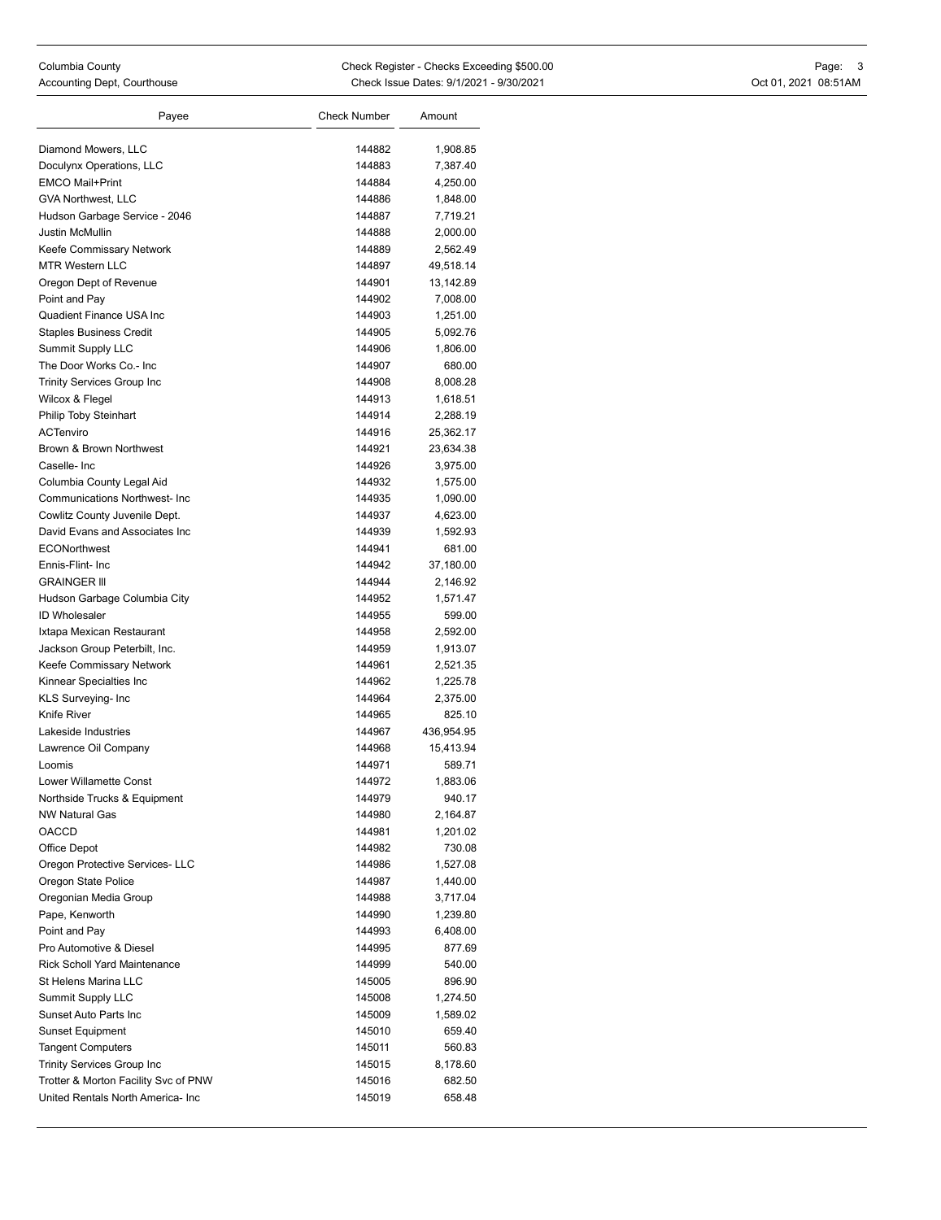| Payee                                     | <b>Check Number</b> | Amount               |
|-------------------------------------------|---------------------|----------------------|
|                                           |                     |                      |
| Diamond Mowers, LLC                       | 144882              | 1,908.85             |
| Doculynx Operations, LLC                  | 144883              | 7,387.40             |
| <b>EMCO Mail+Print</b>                    | 144884              | 4,250.00             |
| <b>GVA Northwest, LLC</b>                 | 144886              | 1,848.00             |
| Hudson Garbage Service - 2046             | 144887              | 7,719.21             |
| Justin McMullin                           | 144888              | 2,000.00             |
| Keefe Commissary Network                  | 144889              | 2,562.49             |
| <b>MTR Western LLC</b>                    | 144897              | 49,518.14            |
| Oregon Dept of Revenue                    | 144901<br>144902    | 13,142.89            |
| Point and Pay<br>Quadient Finance USA Inc |                     | 7,008.00             |
|                                           | 144903              | 1,251.00             |
| <b>Staples Business Credit</b>            | 144905              | 5,092.76             |
| Summit Supply LLC                         | 144906              | 1,806.00             |
| The Door Works Co.- Inc                   | 144907              | 680.00               |
| <b>Trinity Services Group Inc</b>         | 144908<br>144913    | 8,008.28             |
| Wilcox & Flegel<br>Philip Toby Steinhart  | 144914              | 1,618.51<br>2,288.19 |
| <b>ACTenviro</b>                          | 144916              | 25,362.17            |
| Brown & Brown Northwest                   | 144921              | 23,634.38            |
| Caselle-Inc                               | 144926              | 3,975.00             |
| Columbia County Legal Aid                 | 144932              |                      |
| <b>Communications Northwest- Inc</b>      | 144935              | 1,575.00<br>1,090.00 |
| Cowlitz County Juvenile Dept.             | 144937              | 4,623.00             |
| David Evans and Associates Inc.           | 144939              | 1,592.93             |
| ECONorthwest                              | 144941              | 681.00               |
| Ennis-Flint- Inc                          | 144942              | 37,180.00            |
| <b>GRAINGER III</b>                       | 144944              | 2,146.92             |
| Hudson Garbage Columbia City              | 144952              | 1,571.47             |
| <b>ID Wholesaler</b>                      | 144955              | 599.00               |
| Ixtapa Mexican Restaurant                 | 144958              | 2,592.00             |
| Jackson Group Peterbilt, Inc.             | 144959              | 1,913.07             |
| Keefe Commissary Network                  | 144961              | 2,521.35             |
| Kinnear Specialties Inc                   | 144962              | 1,225.78             |
| KLS Surveying- Inc                        | 144964              | 2,375.00             |
| Knife River                               | 144965              | 825.10               |
| Lakeside Industries                       | 144967              | 436,954.95           |
| Lawrence Oil Company                      | 144968              | 15,413.94            |
| Loomis                                    | 144971              | 589.71               |
| Lower Willamette Const                    | 144972              | 1,883.06             |
| Northside Trucks & Equipment              | 144979              | 940.17               |
| <b>NW Natural Gas</b>                     | 144980              | 2,164.87             |
| <b>OACCD</b>                              | 144981              | 1,201.02             |
| Office Depot                              | 144982              | 730.08               |
| Oregon Protective Services- LLC           | 144986              | 1,527.08             |
| Oregon State Police                       | 144987              | 1,440.00             |
| Oregonian Media Group                     | 144988              | 3,717.04             |
| Pape, Kenworth                            | 144990              | 1,239.80             |
| Point and Pay                             | 144993              | 6,408.00             |
| Pro Automotive & Diesel                   | 144995              | 877.69               |
| <b>Rick Scholl Yard Maintenance</b>       | 144999              | 540.00               |
| St Helens Marina LLC                      | 145005              | 896.90               |
| Summit Supply LLC                         | 145008              | 1,274.50             |
| Sunset Auto Parts Inc                     | 145009              | 1,589.02             |
| <b>Sunset Equipment</b>                   | 145010              | 659.40               |
| <b>Tangent Computers</b>                  | 145011              | 560.83               |
| <b>Trinity Services Group Inc</b>         | 145015              | 8,178.60             |
| Trotter & Morton Facility Svc of PNW      | 145016              | 682.50               |
| United Rentals North America- Inc         | 145019              | 658.48               |
|                                           |                     |                      |